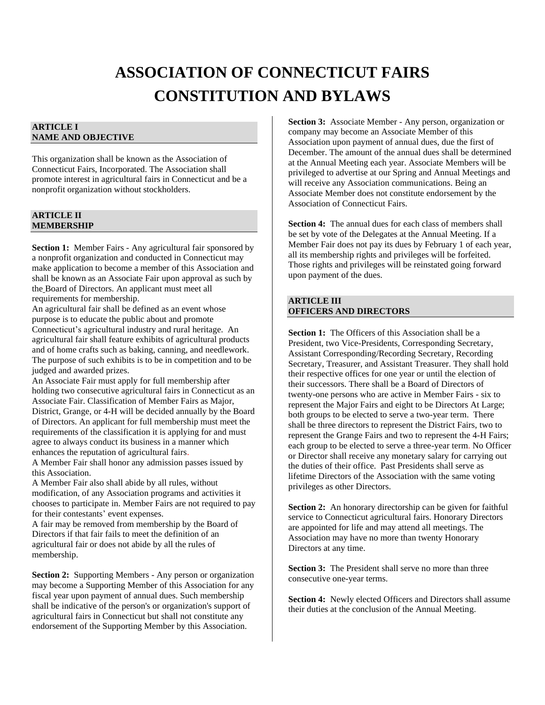# **ASSOCIATION OF CONNECTICUT FAIRS CONSTITUTION AND BYLAWS**

## **ARTICLE I NAME AND OBJECTIVE**

This organization shall be known as the Association of Connecticut Fairs, Incorporated. The Association shall promote interest in agricultural fairs in Connecticut and be a nonprofit organization without stockholders.

## **ARTICLE II MEMBERSHIP**

**Section 1:** Member Fairs - Any agricultural fair sponsored by a nonprofit organization and conducted in Connecticut may make application to become a member of this Association and shall be known as an Associate Fair upon approval as such by the Board of Directors. An applicant must meet all requirements for membership.

An agricultural fair shall be defined as an event whose purpose is to educate the public about and promote Connecticut's agricultural industry and rural heritage. An agricultural fair shall feature exhibits of agricultural products and of home crafts such as baking, canning, and needlework. The purpose of such exhibits is to be in competition and to be judged and awarded prizes.

An Associate Fair must apply for full membership after holding two consecutive agricultural fairs in Connecticut as an Associate Fair. Classification of Member Fairs as Major, District, Grange, or 4-H will be decided annually by the Board of Directors. An applicant for full membership must meet the requirements of the classification it is applying for and must agree to always conduct its business in a manner which enhances the reputation of agricultural fairs.

A Member Fair shall honor any admission passes issued by this Association.

A Member Fair also shall abide by all rules, without modification, of any Association programs and activities it chooses to participate in. Member Fairs are not required to pay for their contestants' event expenses.

A fair may be removed from membership by the Board of Directors if that fair fails to meet the definition of an agricultural fair or does not abide by all the rules of membership.

**Section 2:** Supporting Members - Any person or organization may become a Supporting Member of this Association for any fiscal year upon payment of annual dues. Such membership shall be indicative of the person's or organization's support of agricultural fairs in Connecticut but shall not constitute any endorsement of the Supporting Member by this Association.

**Section 3:** Associate Member - Any person, organization or company may become an Associate Member of this Association upon payment of annual dues, due the first of December. The amount of the annual dues shall be determined at the Annual Meeting each year. Associate Members will be privileged to advertise at our Spring and Annual Meetings and will receive any Association communications. Being an Associate Member does not constitute endorsement by the Association of Connecticut Fairs.

**Section 4:** The annual dues for each class of members shall be set by vote of the Delegates at the Annual Meeting. If a Member Fair does not pay its dues by February 1 of each year, all its membership rights and privileges will be forfeited. Those rights and privileges will be reinstated going forward upon payment of the dues.

# **ARTICLE III OFFICERS AND DIRECTORS**

**Section 1:** The Officers of this Association shall be a President, two Vice-Presidents, Corresponding Secretary, Assistant Corresponding/Recording Secretary, Recording Secretary, Treasurer, and Assistant Treasurer. They shall hold their respective offices for one year or until the election of their successors. There shall be a Board of Directors of twenty-one persons who are active in Member Fairs - six to represent the Major Fairs and eight to be Directors At Large; both groups to be elected to serve a two-year term. There shall be three directors to represent the District Fairs, two to represent the Grange Fairs and two to represent the 4-H Fairs; each group to be elected to serve a three-year term. No Officer or Director shall receive any monetary salary for carrying out the duties of their office. Past Presidents shall serve as lifetime Directors of the Association with the same voting privileges as other Directors.

**Section 2:** An honorary directorship can be given for faithful service to Connecticut agricultural fairs. Honorary Directors are appointed for life and may attend all meetings. The Association may have no more than twenty Honorary Directors at any time.

**Section 3:** The President shall serve no more than three consecutive one-year terms.

**Section 4:** Newly elected Officers and Directors shall assume their duties at the conclusion of the Annual Meeting.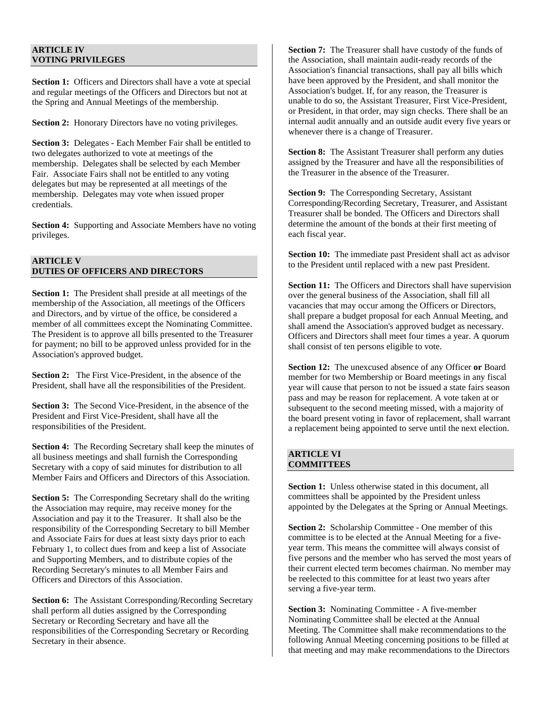#### **ARTICLE IV VOTING PRIVILEGES**

**Section 1:** Officers and Directors shall have a vote at special and regular meetings of the Officers and Directors but not at the Spring and Annual Meetings of the membership.

**Section 2:** Honorary Directors have no voting privileges.

**Section 3:** Delegates - Each Member Fair shall be entitled to two delegates authorized to vote at meetings of the membership. Delegates shall be selected by each Member Fair. Associate Fairs shall not be entitled to any voting delegates but may be represented at all meetings of the membership. Delegates may vote when issued proper credentials.

**Section 4:** Supporting and Associate Members have no voting privileges.

#### **ARTICLE V DUTIES OF OFFICERS AND DIRECTORS**

**Section 1:** The President shall preside at all meetings of the membership of the Association, all meetings of the Officers and Directors, and by virtue of the office, be considered a member of all committees except the Nominating Committee. The President is to approve all bills presented to the Treasurer for payment; no bill to be approved unless provided for in the Association's approved budget.

**Section 2:** The First Vice-President, in the absence of the President, shall have all the responsibilities of the President.

**Section 3:** The Second Vice-President, in the absence of the President and First Vice-President, shall have all the responsibilities of the President.

**Section 4:** The Recording Secretary shall keep the minutes of all business meetings and shall furnish the Corresponding Secretary with a copy of said minutes for distribution to all Member Fairs and Officers and Directors of this Association.

**Section 5:** The Corresponding Secretary shall do the writing the Association may require, may receive money for the Association and pay it to the Treasurer. It shall also be the responsibility of the Corresponding Secretary to bill Member and Associate Fairs for dues at least sixty days prior to each February 1, to collect dues from and keep a list of Associate and Supporting Members, and to distribute copies of the Recording Secretary's minutes to all Member Fairs and Officers and Directors of this Association.

**Section 6:** The Assistant Corresponding/Recording Secretary shall perform all duties assigned by the Corresponding Secretary or Recording Secretary and have all the responsibilities of the Corresponding Secretary or Recording Secretary in their absence.

**Section 7:** The Treasurer shall have custody of the funds of the Association, shall maintain audit-ready records of the Association's financial transactions, shall pay all bills which have been approved by the President, and shall monitor the Association's budget. If, for any reason, the Treasurer is unable to do so, the Assistant Treasurer, First Vice-President, or President, in that order, may sign checks. There shall be an internal audit annually and an outside audit every five years or whenever there is a change of Treasurer.

**Section 8:** The Assistant Treasurer shall perform any duties assigned by the Treasurer and have all the responsibilities of the Treasurer in the absence of the Treasurer.

**Section 9:** The Corresponding Secretary, Assistant Corresponding/Recording Secretary, Treasurer, and Assistant Treasurer shall be bonded. The Officers and Directors shall determine the amount of the bonds at their first meeting of each fiscal year.

**Section 10:** The immediate past President shall act as advisor to the President until replaced with a new past President.

**Section 11:** The Officers and Directors shall have supervision over the general business of the Association, shall fill all vacancies that may occur among the Officers or Directors, shall prepare a budget proposal for each Annual Meeting, and shall amend the Association's approved budget as necessary. Officers and Directors shall meet four times a year. A quorum shall consist of ten persons eligible to vote.

**Section 12:** The unexcused absence of any Officer **or** Board member for two Membership or Board meetings in any fiscal year will cause that person to not be issued a state fairs season pass and may be reason for replacement. A vote taken at or subsequent to the second meeting missed, with a majority of the board present voting in favor of replacement, shall warrant a replacement being appointed to serve until the next election.

#### **ARTICLE VI COMMITTEES**

**Section 1:** Unless otherwise stated in this document, all committees shall be appointed by the President unless appointed by the Delegates at the Spring or Annual Meetings.

**Section 2:** Scholarship Committee - One member of this committee is to be elected at the Annual Meeting for a fiveyear term. This means the committee will always consist of five persons and the member who has served the most years of their current elected term becomes chairman. No member may be reelected to this committee for at least two years after serving a five-year term.

**Section 3:** Nominating Committee - A five-member Nominating Committee shall be elected at the Annual Meeting. The Committee shall make recommendations to the following Annual Meeting concerning positions to be filled at that meeting and may make recommendations to the Directors